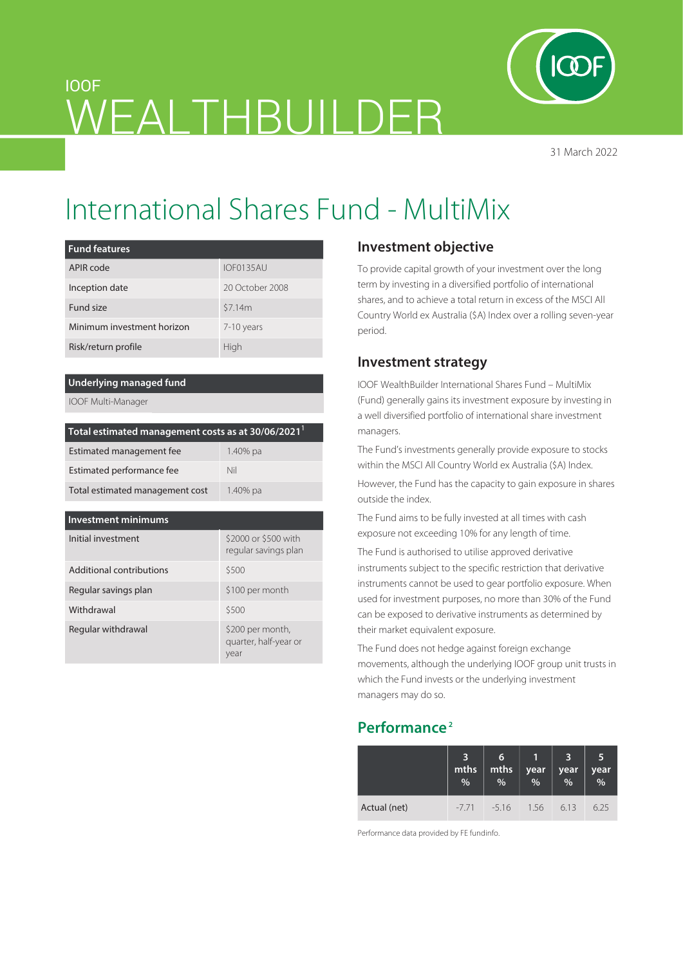

31 March 2022

# WEALTHBUILDER

## International Shares Fund - MultiMix

| <b>Fund features</b>       |                 |  |  |
|----------------------------|-----------------|--|--|
| APIR code                  | IOF0135AU       |  |  |
| Inception date             | 20 October 2008 |  |  |
| Fund size                  | \$7.14m         |  |  |
| Minimum investment horizon | 7-10 years      |  |  |
| Risk/return profile        | High            |  |  |

#### **Underlying managed fund**

IOOF Multi-Manager

IOOF

| Total estimated management costs as at 30/06/2021 <sup>1</sup> |          |  |  |  |
|----------------------------------------------------------------|----------|--|--|--|
| Estimated management fee                                       | 1.40% pa |  |  |  |
| Estimated performance fee                                      | Nil      |  |  |  |
| Total estimated management cost                                | 1.40% pa |  |  |  |

| <b>Investment minimums</b> |                                                   |  |  |  |  |
|----------------------------|---------------------------------------------------|--|--|--|--|
| Initial investment         | \$2000 or \$500 with<br>regular savings plan      |  |  |  |  |
| Additional contributions   | \$500                                             |  |  |  |  |
| Regular savings plan       | \$100 per month                                   |  |  |  |  |
| Withdrawal                 | \$500                                             |  |  |  |  |
| Regular withdrawal         | \$200 per month,<br>quarter, half-year or<br>year |  |  |  |  |

#### **Investment objective**

To provide capital growth of your investment over the long term by investing in a diversified portfolio of international shares, and to achieve a total return in excess of the MSCI All Country World ex Australia (\$A) Index over a rolling seven-year period.

#### **Investment strategy**

IOOF WealthBuilder International Shares Fund – MultiMix (Fund) generally gains its investment exposure by investing in a well diversified portfolio of international share investment managers.

The Fund's investments generally provide exposure to stocks within the MSCI All Country World ex Australia (\$A) Index.

However, the Fund has the capacity to gain exposure in shares outside the index.

The Fund aims to be fully invested at all times with cash exposure not exceeding 10% for any length of time.

The Fund is authorised to utilise approved derivative instruments subject to the specific restriction that derivative instruments cannot be used to gear portfolio exposure. When used for investment purposes, no more than 30% of the Fund can be exposed to derivative instruments as determined by their market equivalent exposure.

The Fund does not hedge against foreign exchange movements, although the underlying IOOF group unit trusts in which the Fund invests or the underlying investment managers may do so.

### **Performance 2**

|              | mths<br>$\frac{9}{6}$ | 6<br>mths<br>% | year<br>$\frac{9}{6}$ | 3<br>year<br>$\frac{1}{2}$ | 5<br>year<br>$\frac{1}{2}$ |
|--------------|-----------------------|----------------|-----------------------|----------------------------|----------------------------|
| Actual (net) | $-7.71$               | $-5.16$        | 1.56                  | 6.13                       | 6.25                       |

Performance data provided by FE fundinfo.